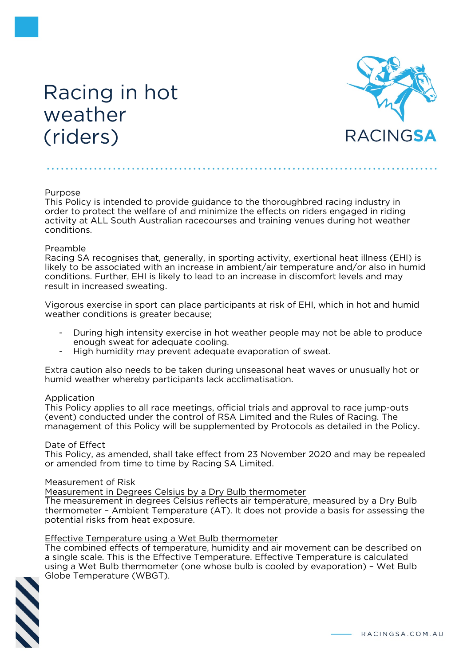# Racing in hot weather (riders)



## Purpose

This Policy is intended to provide guidance to the thoroughbred racing industry in order to protect the welfare of and minimize the effects on riders engaged in riding activity at ALL South Australian racecourses and training venues during hot weather conditions.

## Preamble

Racing SA recognises that, generally, in sporting activity, exertional heat illness (EHI) is likely to be associated with an increase in ambient/air temperature and/or also in humid conditions. Further, EHI is likely to lead to an increase in discomfort levels and may result in increased sweating.

Vigorous exercise in sport can place participants at risk of EHI, which in hot and humid weather conditions is greater because;

- During high intensity exercise in hot weather people may not be able to produce enough sweat for adequate cooling.
- High humidity may prevent adequate evaporation of sweat.

Extra caution also needs to be taken during unseasonal heat waves or unusually hot or humid weather whereby participants lack acclimatisation.

#### Application

This Policy applies to all race meetings, official trials and approval to race jump-outs (event) conducted under the control of RSA Limited and the Rules of Racing. The management of this Policy will be supplemented by Protocols as detailed in the Policy.

#### Date of Effect

This Policy, as amended, shall take effect from 23 November 2020 and may be repealed or amended from time to time by Racing SA Limited.

#### Measurement of Risk

Measurement in Degrees Celsius by a Dry Bulb thermometer

The measurement in degrees Celsius reflects air temperature, measured by a Dry Bulb thermometer – Ambient Temperature (AT). It does not provide a basis for assessing the potential risks from heat exposure.

#### Effective Temperature using a Wet Bulb thermometer

The combined effects of temperature, humidity and air movement can be described on a single scale. This is the Effective Temperature. Effective Temperature is calculated using a Wet Bulb thermometer (one whose bulb is cooled by evaporation) – Wet Bulb Globe Temperature (WBGT).

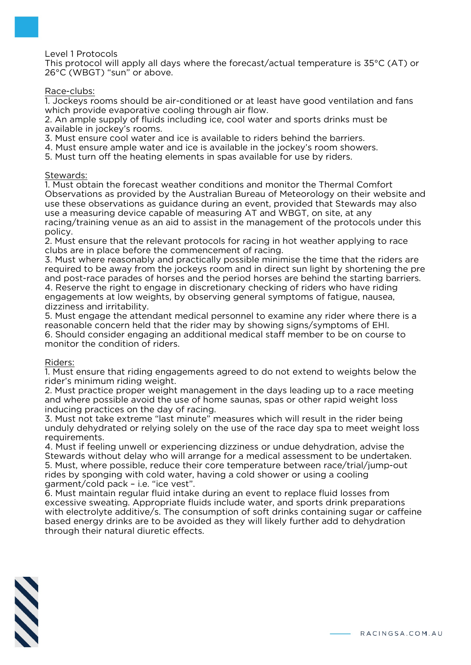Level 1 Protocols

This protocol will apply all days where the forecast/actual temperature is 35°C (AT) or 26°C (WBGT) "sun" or above.

## Race-clubs:

1. Jockeys rooms should be air-conditioned or at least have good ventilation and fans which provide evaporative cooling through air flow.

2. An ample supply of fluids including ice, cool water and sports drinks must be available in jockey's rooms.

3. Must ensure cool water and ice is available to riders behind the barriers.

4. Must ensure ample water and ice is available in the jockey's room showers.

5. Must turn off the heating elements in spas available for use by riders.

#### Stewards:

1. Must obtain the forecast weather conditions and monitor the Thermal Comfort Observations as provided by the Australian Bureau of Meteorology on their website and use these observations as guidance during an event, provided that Stewards may also use a measuring device capable of measuring AT and WBGT, on site, at any racing/training venue as an aid to assist in the management of the protocols under this policy.

2. Must ensure that the relevant protocols for racing in hot weather applying to race clubs are in place before the commencement of racing.

3. Must where reasonably and practically possible minimise the time that the riders are required to be away from the jockeys room and in direct sun light by shortening the pre and post-race parades of horses and the period horses are behind the starting barriers. 4. Reserve the right to engage in discretionary checking of riders who have riding engagements at low weights, by observing general symptoms of fatigue, nausea, dizziness and irritability.

5. Must engage the attendant medical personnel to examine any rider where there is a reasonable concern held that the rider may by showing signs/symptoms of EHI. 6. Should consider engaging an additional medical staff member to be on course to monitor the condition of riders.

#### Riders:

1. Must ensure that riding engagements agreed to do not extend to weights below the rider's minimum riding weight.

2. Must practice proper weight management in the days leading up to a race meeting and where possible avoid the use of home saunas, spas or other rapid weight loss inducing practices on the day of racing.

3. Must not take extreme "last minute" measures which will result in the rider being unduly dehydrated or relying solely on the use of the race day spa to meet weight loss requirements.

4. Must if feeling unwell or experiencing dizziness or undue dehydration, advise the Stewards without delay who will arrange for a medical assessment to be undertaken. 5. Must, where possible, reduce their core temperature between race/trial/jump-out rides by sponging with cold water, having a cold shower or using a cooling garment/cold pack – i.e. "ice vest".

6. Must maintain regular fluid intake during an event to replace fluid losses from excessive sweating. Appropriate fluids include water, and sports drink preparations with electrolyte additive/s. The consumption of soft drinks containing sugar or caffeine based energy drinks are to be avoided as they will likely further add to dehydration through their natural diuretic effects.

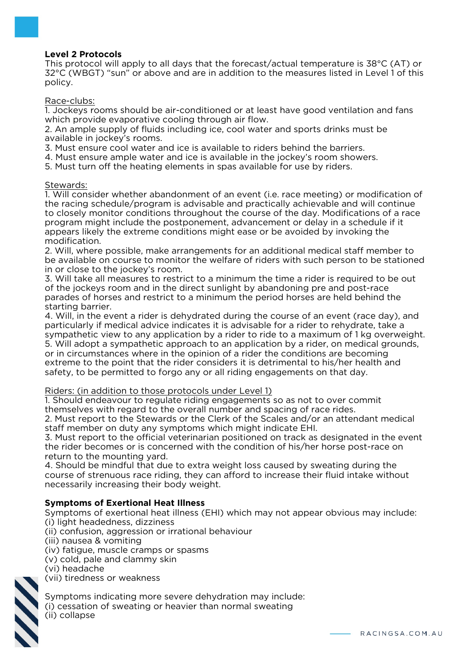## **Level 2 Protocols**

This protocol will apply to all days that the forecast/actual temperature is 38°C (AT) or 32°C (WBGT) "sun" or above and are in addition to the measures listed in Level 1 of this policy.

Race-clubs:

1. Jockeys rooms should be air-conditioned or at least have good ventilation and fans which provide evaporative cooling through air flow.

2. An ample supply of fluids including ice, cool water and sports drinks must be available in jockey's rooms.

3. Must ensure cool water and ice is available to riders behind the barriers.

4. Must ensure ample water and ice is available in the jockey's room showers.

5. Must turn off the heating elements in spas available for use by riders.

## Stewards:

1. Will consider whether abandonment of an event (i.e. race meeting) or modification of the racing schedule/program is advisable and practically achievable and will continue to closely monitor conditions throughout the course of the day. Modifications of a race program might include the postponement, advancement or delay in a schedule if it appears likely the extreme conditions might ease or be avoided by invoking the modification.

2. Will, where possible, make arrangements for an additional medical staff member to be available on course to monitor the welfare of riders with such person to be stationed in or close to the jockey's room.

3. Will take all measures to restrict to a minimum the time a rider is required to be out of the jockeys room and in the direct sunlight by abandoning pre and post-race parades of horses and restrict to a minimum the period horses are held behind the starting barrier.

4. Will, in the event a rider is dehydrated during the course of an event (race day), and particularly if medical advice indicates it is advisable for a rider to rehydrate, take a sympathetic view to any application by a rider to ride to a maximum of 1 kg overweight. 5. Will adopt a sympathetic approach to an application by a rider, on medical grounds, or in circumstances where in the opinion of a rider the conditions are becoming extreme to the point that the rider considers it is detrimental to his/her health and safety, to be permitted to forgo any or all riding engagements on that day.

## Riders: (in addition to those protocols under Level 1)

1. Should endeavour to regulate riding engagements so as not to over commit themselves with regard to the overall number and spacing of race rides.

2. Must report to the Stewards or the Clerk of the Scales and/or an attendant medical staff member on duty any symptoms which might indicate EHI.

3. Must report to the official veterinarian positioned on track as designated in the event the rider becomes or is concerned with the condition of his/her horse post-race on return to the mounting yard.

4. Should be mindful that due to extra weight loss caused by sweating during the course of strenuous race riding, they can afford to increase their fluid intake without necessarily increasing their body weight.

## **Symptoms of Exertional Heat Illness**

Symptoms of exertional heat illness (EHI) which may not appear obvious may include: (i) light headedness, dizziness (ii) confusion, aggression or irrational behaviour (iii) nausea & vomiting (iv) fatigue, muscle cramps or spasms (v) cold, pale and clammy skin (vi) headache (vii) tiredness or weakness



Symptoms indicating more severe dehydration may include: (i) cessation of sweating or heavier than normal sweating (ii) collapse